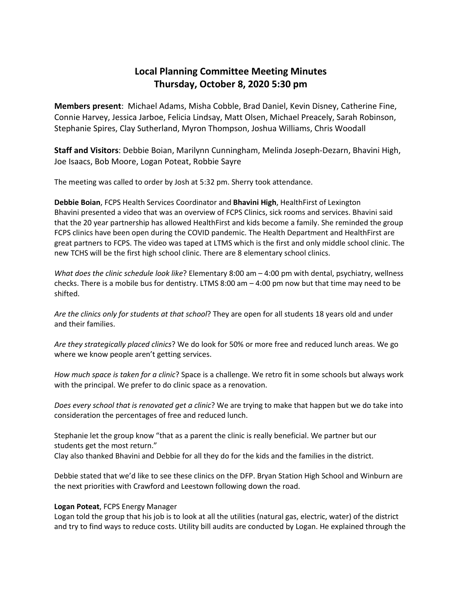# **Local Planning Committee Meeting Minutes Thursday, October 8, 2020 5:30 pm**

**Members present**: Michael Adams, Misha Cobble, Brad Daniel, Kevin Disney, Catherine Fine, Connie Harvey, Jessica Jarboe, Felicia Lindsay, Matt Olsen, Michael Preacely, Sarah Robinson, Stephanie Spires, Clay Sutherland, Myron Thompson, Joshua Williams, Chris Woodall

**Staff and Visitors**: Debbie Boian, Marilynn Cunningham, Melinda Joseph-Dezarn, Bhavini High, Joe Isaacs, Bob Moore, Logan Poteat, Robbie Sayre

The meeting was called to order by Josh at 5:32 pm. Sherry took attendance.

**Debbie Boian**, FCPS Health Services Coordinator and **Bhavini High**, HealthFirst of Lexington Bhavini presented a video that was an overview of FCPS Clinics, sick rooms and services. Bhavini said that the 20 year partnership has allowed HealthFirst and kids become a family. She reminded the group FCPS clinics have been open during the COVID pandemic. The Health Department and HealthFirst are great partners to FCPS. The video was taped at LTMS which is the first and only middle school clinic. The new TCHS will be the first high school clinic. There are 8 elementary school clinics.

*What does the clinic schedule look like*? Elementary 8:00 am – 4:00 pm with dental, psychiatry, wellness checks. There is a mobile bus for dentistry. LTMS 8:00 am  $-$  4:00 pm now but that time may need to be shifted.

*Are the clinics only for students at that school*? They are open for all students 18 years old and under and their families.

*Are they strategically placed clinics*? We do look for 50% or more free and reduced lunch areas. We go where we know people aren't getting services.

*How much space is taken for a clinic*? Space is a challenge. We retro fit in some schools but always work with the principal. We prefer to do clinic space as a renovation.

*Does every school that is renovated get a clinic*? We are trying to make that happen but we do take into consideration the percentages of free and reduced lunch.

Stephanie let the group know "that as a parent the clinic is really beneficial. We partner but our students get the most return."

Clay also thanked Bhavini and Debbie for all they do for the kids and the families in the district.

Debbie stated that we'd like to see these clinics on the DFP. Bryan Station High School and Winburn are the next priorities with Crawford and Leestown following down the road.

## **Logan Poteat**, FCPS Energy Manager

Logan told the group that his job is to look at all the utilities (natural gas, electric, water) of the district and try to find ways to reduce costs. Utility bill audits are conducted by Logan. He explained through the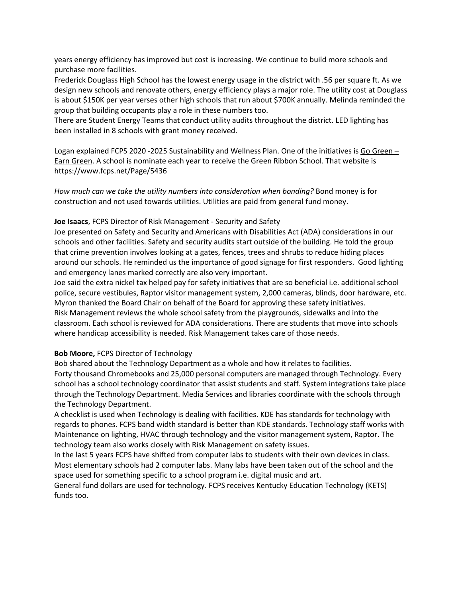years energy efficiency has improved but cost is increasing. We continue to build more schools and purchase more facilities.

Frederick Douglass High School has the lowest energy usage in the district with .56 per square ft. As we design new schools and renovate others, energy efficiency plays a major role. The utility cost at Douglass is about \$150K per year verses other high schools that run about \$700K annually. Melinda reminded the group that building occupants play a role in these numbers too.

There are Student Energy Teams that conduct utility audits throughout the district. LED lighting has been installed in 8 schools with grant money received.

Logan explained FCPS 2020 -2025 Sustainability and Wellness Plan. One of the initiatives is Go Green – Earn Green. A school is nominate each year to receive the Green Ribbon School. That website is https://www.fcps.net/Page/5436

*How much can we take the utility numbers into consideration when bonding?* Bond money is for construction and not used towards utilities. Utilities are paid from general fund money.

## **Joe Isaacs**, FCPS Director of Risk Management - Security and Safety

Joe presented on Safety and Security and Americans with Disabilities Act (ADA) considerations in our schools and other facilities. Safety and security audits start outside of the building. He told the group that crime prevention involves looking at a gates, fences, trees and shrubs to reduce hiding places around our schools. He reminded us the importance of good signage for first responders. Good lighting and emergency lanes marked correctly are also very important.

Joe said the extra nickel tax helped pay for safety initiatives that are so beneficial i.e. additional school police, secure vestibules, Raptor visitor management system, 2,000 cameras, blinds, door hardware, etc. Myron thanked the Board Chair on behalf of the Board for approving these safety initiatives. Risk Management reviews the whole school safety from the playgrounds, sidewalks and into the classroom. Each school is reviewed for ADA considerations. There are students that move into schools where handicap accessibility is needed. Risk Management takes care of those needs.

## **Bob Moore,** FCPS Director of Technology

Bob shared about the Technology Department as a whole and how it relates to facilities. Forty thousand Chromebooks and 25,000 personal computers are managed through Technology. Every school has a school technology coordinator that assist students and staff. System integrations take place through the Technology Department. Media Services and libraries coordinate with the schools through the Technology Department.

A checklist is used when Technology is dealing with facilities. KDE has standards for technology with regards to phones. FCPS band width standard is better than KDE standards. Technology staff works with Maintenance on lighting, HVAC through technology and the visitor management system, Raptor. The technology team also works closely with Risk Management on safety issues.

In the last 5 years FCPS have shifted from computer labs to students with their own devices in class. Most elementary schools had 2 computer labs. Many labs have been taken out of the school and the space used for something specific to a school program i.e. digital music and art.

General fund dollars are used for technology. FCPS receives Kentucky Education Technology (KETS) funds too.